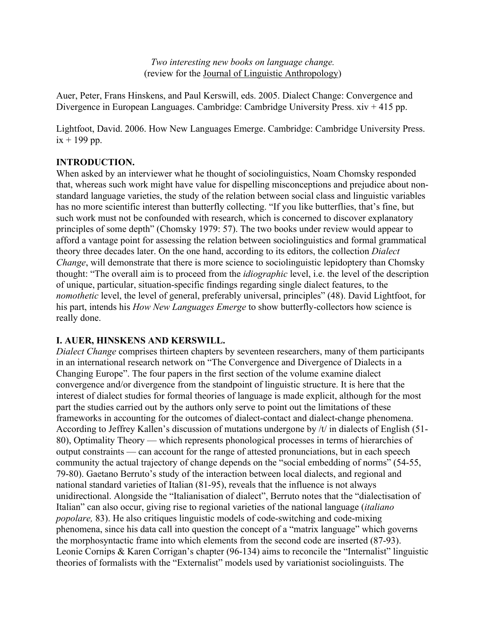*Two interesting new books on language change.* (review for the Journal of Linguistic Anthropology)

Auer, Peter, Frans Hinskens, and Paul Kerswill, eds. 2005. Dialect Change: Convergence and Divergence in European Languages. Cambridge: Cambridge University Press. xiv + 415 pp.

Lightfoot, David. 2006. How New Languages Emerge. Cambridge: Cambridge University Press.  $ix + 199$  pp.

## **INTRODUCTION.**

When asked by an interviewer what he thought of sociolinguistics, Noam Chomsky responded that, whereas such work might have value for dispelling misconceptions and prejudice about nonstandard language varieties, the study of the relation between social class and linguistic variables has no more scientific interest than butterfly collecting. "If you like butterflies, that's fine, but such work must not be confounded with research, which is concerned to discover explanatory principles of some depth" (Chomsky 1979: 57). The two books under review would appear to afford a vantage point for assessing the relation between sociolinguistics and formal grammatical theory three decades later. On the one hand, according to its editors, the collection *Dialect Change*, will demonstrate that there is more science to sociolinguistic lepidoptery than Chomsky thought: "The overall aim is to proceed from the *idiographic* level, i.e. the level of the description of unique, particular, situation-specific findings regarding single dialect features, to the *nomothetic* level, the level of general, preferably universal, principles" (48). David Lightfoot, for his part, intends his *How New Languages Emerge* to show butterfly-collectors how science is really done.

## **I. AUER, HINSKENS AND KERSWILL.**

*Dialect Change* comprises thirteen chapters by seventeen researchers, many of them participants in an international research network on "The Convergence and Divergence of Dialects in a Changing Europe". The four papers in the first section of the volume examine dialect convergence and/or divergence from the standpoint of linguistic structure. It is here that the interest of dialect studies for formal theories of language is made explicit, although for the most part the studies carried out by the authors only serve to point out the limitations of these frameworks in accounting for the outcomes of dialect-contact and dialect-change phenomena. According to Jeffrey Kallen's discussion of mutations undergone by /t/ in dialects of English (51- 80), Optimality Theory — which represents phonological processes in terms of hierarchies of output constraints — can account for the range of attested pronunciations, but in each speech community the actual trajectory of change depends on the "social embedding of norms" (54-55, 79-80). Gaetano Berruto's study of the interaction between local dialects, and regional and national standard varieties of Italian (81-95), reveals that the influence is not always unidirectional. Alongside the "Italianisation of dialect", Berruto notes that the "dialectisation of Italian" can also occur, giving rise to regional varieties of the national language (*italiano popolare,* 83). He also critiques linguistic models of code-switching and code-mixing phenomena, since his data call into question the concept of a "matrix language" which governs the morphosyntactic frame into which elements from the second code are inserted (87-93). Leonie Cornips & Karen Corrigan's chapter (96-134) aims to reconcile the "Internalist" linguistic theories of formalists with the "Externalist" models used by variationist sociolinguists. The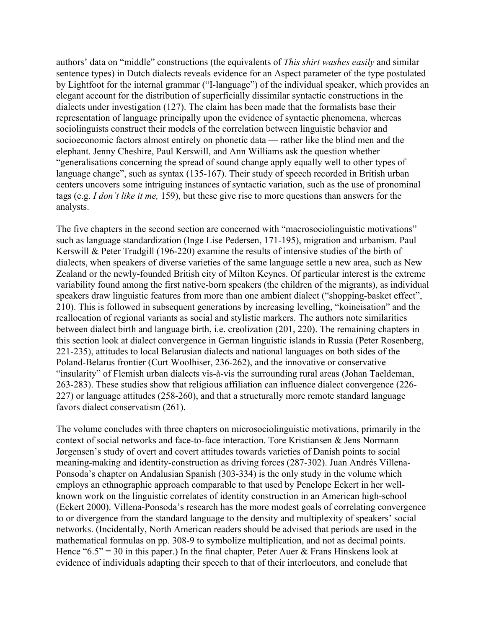authors' data on "middle" constructions (the equivalents of *This shirt washes easily* and similar sentence types) in Dutch dialects reveals evidence for an Aspect parameter of the type postulated by Lightfoot for the internal grammar ("I-language") of the individual speaker, which provides an elegant account for the distribution of superficially dissimilar syntactic constructions in the dialects under investigation (127). The claim has been made that the formalists base their representation of language principally upon the evidence of syntactic phenomena, whereas sociolinguists construct their models of the correlation between linguistic behavior and socioeconomic factors almost entirely on phonetic data — rather like the blind men and the elephant. Jenny Cheshire, Paul Kerswill, and Ann Williams ask the question whether "generalisations concerning the spread of sound change apply equally well to other types of language change", such as syntax (135-167). Their study of speech recorded in British urban centers uncovers some intriguing instances of syntactic variation, such as the use of pronominal tags (e.g. *I don't like it me,* 159), but these give rise to more questions than answers for the analysts.

The five chapters in the second section are concerned with "macrosociolinguistic motivations" such as language standardization (Inge Lise Pedersen, 171-195), migration and urbanism. Paul Kerswill & Peter Trudgill (196-220) examine the results of intensive studies of the birth of dialects, when speakers of diverse varieties of the same language settle a new area, such as New Zealand or the newly-founded British city of Milton Keynes. Of particular interest is the extreme variability found among the first native-born speakers (the children of the migrants), as individual speakers draw linguistic features from more than one ambient dialect ("shopping-basket effect", 210). This is followed in subsequent generations by increasing levelling, "koineisation" and the reallocation of regional variants as social and stylistic markers. The authors note similarities between dialect birth and language birth, i.e. creolization (201, 220). The remaining chapters in this section look at dialect convergence in German linguistic islands in Russia (Peter Rosenberg, 221-235), attitudes to local Belarusian dialects and national languages on both sides of the Poland-Belarus frontier (Curt Woolhiser, 236-262), and the innovative or conservative "insularity" of Flemish urban dialects vis-à-vis the surrounding rural areas (Johan Taeldeman, 263-283). These studies show that religious affiliation can influence dialect convergence (226- 227) or language attitudes (258-260), and that a structurally more remote standard language favors dialect conservatism (261).

The volume concludes with three chapters on microsociolinguistic motivations, primarily in the context of social networks and face-to-face interaction. Tore Kristiansen & Jens Normann Jørgensen's study of overt and covert attitudes towards varieties of Danish points to social meaning-making and identity-construction as driving forces (287-302). Juan Andrés Villena-Ponsoda's chapter on Andalusian Spanish (303-334) is the only study in the volume which employs an ethnographic approach comparable to that used by Penelope Eckert in her wellknown work on the linguistic correlates of identity construction in an American high-school (Eckert 2000). Villena-Ponsoda's research has the more modest goals of correlating convergence to or divergence from the standard language to the density and multiplexity of speakers' social networks. (Incidentally, North American readers should be advised that periods are used in the mathematical formulas on pp. 308-9 to symbolize multiplication, and not as decimal points. Hence "6.5" = 30 in this paper.) In the final chapter, Peter Auer & Frans Hinskens look at evidence of individuals adapting their speech to that of their interlocutors, and conclude that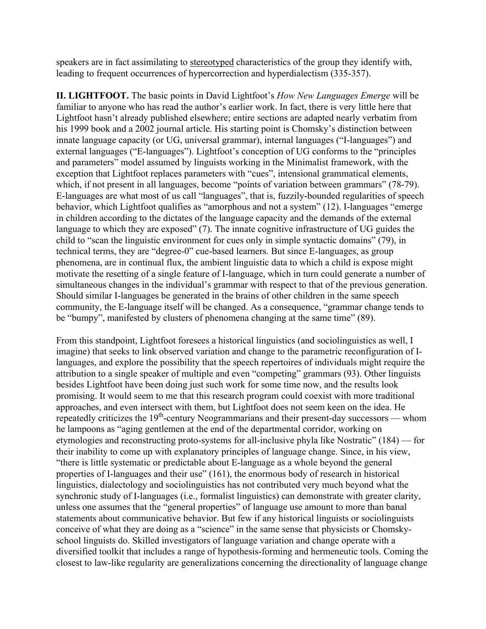speakers are in fact assimilating to stereotyped characteristics of the group they identify with, leading to frequent occurrences of hypercorrection and hyperdialectism (335-357).

**II. LIGHTFOOT.** The basic points in David Lightfoot's *How New Languages Emerge* will be familiar to anyone who has read the author's earlier work. In fact, there is very little here that Lightfoot hasn't already published elsewhere; entire sections are adapted nearly verbatim from his 1999 book and a 2002 journal article. His starting point is Chomsky's distinction between innate language capacity (or UG, universal grammar), internal languages ("I-languages") and external languages ("E-languages"). Lightfoot's conception of UG conforms to the "principles and parameters" model assumed by linguists working in the Minimalist framework, with the exception that Lightfoot replaces parameters with "cues", intensional grammatical elements, which, if not present in all languages, become "points of variation between grammars" (78-79). E-languages are what most of us call "languages", that is, fuzzily-bounded regularities of speech behavior, which Lightfoot qualifies as "amorphous and not a system" (12). I-languages "emerge in children according to the dictates of the language capacity and the demands of the external language to which they are exposed" (7). The innate cognitive infrastructure of UG guides the child to "scan the linguistic environment for cues only in simple syntactic domains" (79), in technical terms, they are "degree-0" cue-based learners. But since E-languages, as group phenomena, are in continual flux, the ambient linguistic data to which a child is expose might motivate the resetting of a single feature of I-language, which in turn could generate a number of simultaneous changes in the individual's grammar with respect to that of the previous generation. Should similar I-languages be generated in the brains of other children in the same speech community, the E-language itself will be changed. As a consequence, "grammar change tends to be "bumpy", manifested by clusters of phenomena changing at the same time" (89).

From this standpoint, Lightfoot foresees a historical linguistics (and sociolinguistics as well, I imagine) that seeks to link observed variation and change to the parametric reconfiguration of Ilanguages, and explore the possibility that the speech repertoires of individuals might require the attribution to a single speaker of multiple and even "competing" grammars (93). Other linguists besides Lightfoot have been doing just such work for some time now, and the results look promising. It would seem to me that this research program could coexist with more traditional approaches, and even intersect with them, but Lightfoot does not seem keen on the idea. He repeatedly criticizes the 19<sup>th</sup>-century Neogrammarians and their present-day successors — whom he lampoons as "aging gentlemen at the end of the departmental corridor, working on etymologies and reconstructing proto-systems for all-inclusive phyla like Nostratic" (184) — for their inability to come up with explanatory principles of language change. Since, in his view, "there is little systematic or predictable about E-language as a whole beyond the general properties of I-languages and their use" (161), the enormous body of research in historical linguistics, dialectology and sociolinguistics has not contributed very much beyond what the synchronic study of I-languages (i.e., formalist linguistics) can demonstrate with greater clarity, unless one assumes that the "general properties" of language use amount to more than banal statements about communicative behavior. But few if any historical linguists or sociolinguists conceive of what they are doing as a "science" in the same sense that physicists or Chomskyschool linguists do. Skilled investigators of language variation and change operate with a diversified toolkit that includes a range of hypothesis-forming and hermeneutic tools. Coming the closest to law-like regularity are generalizations concerning the directionality of language change